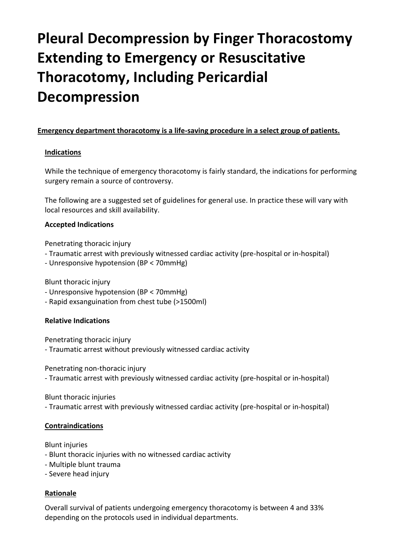# **Pleural Decompression by Finger Thoracostomy Extending to Emergency or Resuscitative Thoracotomy, Including Pericardial Decompression**

# **Emergency department thoracotomy is a life-saving procedure in a select group of patients.**

## **Indications**

While the technique of emergency thoracotomy is fairly standard, the indications for performing surgery remain a source of controversy.

The following are a suggested set of guidelines for general use. In practice these will vary with local resources and skill availability.

## **Accepted Indications**

Penetrating thoracic injury

- Traumatic arrest with previously witnessed cardiac activity (pre-hospital or in-hospital)
- Unresponsive hypotension (BP < 70mmHg)

Blunt thoracic injury

- Unresponsive hypotension (BP < 70mmHg)
- Rapid exsanguination from chest tube (>1500ml)

# **Relative Indications**

Penetrating thoracic injury

- Traumatic arrest without previously witnessed cardiac activity

Penetrating non-thoracic injury

- Traumatic arrest with previously witnessed cardiac activity (pre-hospital or in-hospital)

Blunt thoracic injuries

- Traumatic arrest with previously witnessed cardiac activity (pre-hospital or in-hospital)

# **Contraindications**

Blunt injuries

- Blunt thoracic injuries with no witnessed cardiac activity
- Multiple blunt trauma
- Severe head injury

# **Rationale**

Overall survival of patients undergoing emergency thoracotomy is between 4 and 33% depending on the protocols used in individual departments.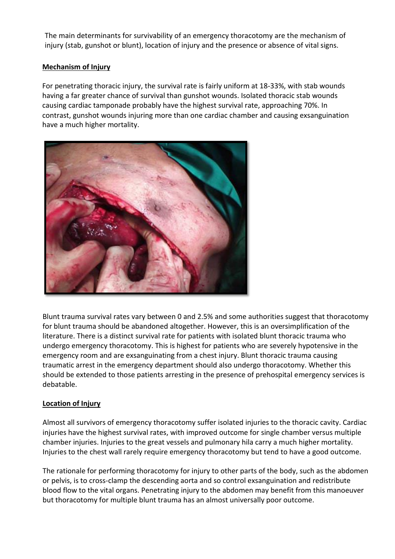The main determinants for survivability of an emergency thoracotomy are the mechanism of injury (stab, gunshot or blunt), location of injury and the presence or absence of vital signs.

# **Mechanism of Injury**

For penetrating thoracic injury, the survival rate is fairly uniform at 18-33%, with stab wounds having a far greater chance of survival than gunshot wounds. Isolated thoracic stab wounds causing cardiac tamponade probably have the highest survival rate, approaching 70%. In contrast, gunshot wounds injuring more than one cardiac chamber and causing exsanguination have a much higher mortality.



Blunt trauma survival rates vary between 0 and 2.5% and some authorities suggest that thoracotomy for blunt trauma should be abandoned altogether. However, this is an oversimplification of the literature. There is a distinct survival rate for patients with isolated blunt thoracic trauma who undergo emergency thoracotomy. This is highest for patients who are severely hypotensive in the emergency room and are exsanguinating from a chest injury. Blunt thoracic trauma causing traumatic arrest in the emergency department should also undergo thoracotomy. Whether this should be extended to those patients arresting in the presence of prehospital emergency services is debatable.

# **Location of Injury**

Almost all survivors of emergency thoracotomy suffer isolated injuries to the thoracic cavity. Cardiac injuries have the highest survival rates, with improved outcome for single chamber versus multiple chamber injuries. Injuries to the great vessels and pulmonary hila carry a much higher mortality. Injuries to the chest wall rarely require emergency thoracotomy but tend to have a good outcome.

The rationale for performing thoracotomy for injury to other parts of the body, such as the abdomen or pelvis, is to cross-clamp the descending aorta and so control exsanguination and redistribute blood flow to the vital organs. Penetrating injury to the abdomen may benefit from this manoeuver but thoracotomy for multiple blunt trauma has an almost universally poor outcome.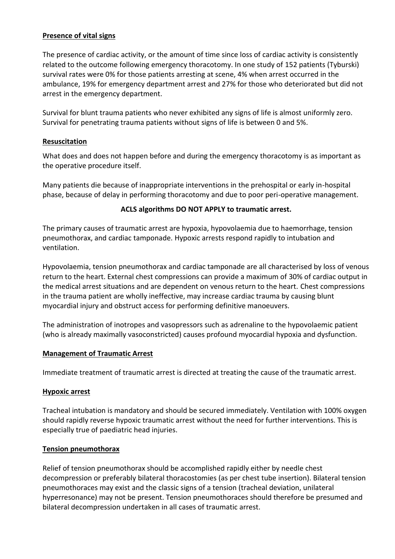## **Presence of vital signs**

The presence of cardiac activity, or the amount of time since loss of cardiac activity is consistently related to the outcome following emergency thoracotomy. In one study of 152 patients (Tyburski) survival rates were 0% for those patients arresting at scene, 4% when arrest occurred in the ambulance, 19% for emergency department arrest and 27% for those who deteriorated but did not arrest in the emergency department.

Survival for blunt trauma patients who never exhibited any signs of life is almost uniformly zero. Survival for penetrating trauma patients without signs of life is between 0 and 5%.

## **Resuscitation**

What does and does not happen before and during the emergency thoracotomy is as important as the operative procedure itself.

Many patients die because of inappropriate interventions in the prehospital or early in-hospital phase, because of delay in performing thoracotomy and due to poor peri-operative management.

## **ACLS algorithms DO NOT APPLY to traumatic arrest.**

The primary causes of traumatic arrest are hypoxia, hypovolaemia due to haemorrhage, tension pneumothorax, and cardiac tamponade. Hypoxic arrests respond rapidly to intubation and ventilation.

Hypovolaemia, tension pneumothorax and cardiac tamponade are all characterised by loss of venous return to the heart. External chest compressions can provide a maximum of 30% of cardiac output in the medical arrest situations and are dependent on venous return to the heart. Chest compressions in the trauma patient are wholly ineffective, may increase cardiac trauma by causing blunt myocardial injury and obstruct access for performing definitive manoeuvers.

The administration of inotropes and vasopressors such as adrenaline to the hypovolaemic patient (who is already maximally vasoconstricted) causes profound myocardial hypoxia and dysfunction.

#### **Management of Traumatic Arrest**

Immediate treatment of traumatic arrest is directed at treating the cause of the traumatic arrest.

#### **Hypoxic arrest**

Tracheal intubation is mandatory and should be secured immediately. Ventilation with 100% oxygen should rapidly reverse hypoxic traumatic arrest without the need for further interventions. This is especially true of paediatric head injuries.

#### **Tension pneumothorax**

Relief of tension pneumothorax should be accomplished rapidly either by needle chest decompression or preferably bilateral thoracostomies (as per chest tube insertion). Bilateral tension pneumothoraces may exist and the classic signs of a tension (tracheal deviation, unilateral hyperresonance) may not be present. Tension pneumothoraces should therefore be presumed and bilateral decompression undertaken in all cases of traumatic arrest.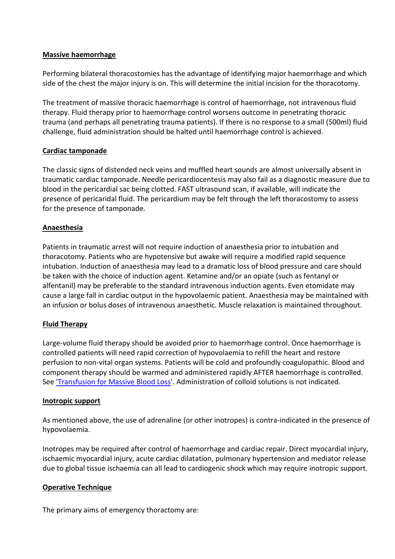## **Massive haemorrhage**

Performing bilateral thoracostomies has the advantage of identifying major haemorrhage and which side of the chest the major injury is on. This will determine the initial incision for the thoracotomy.

The treatment of massive thoracic haemorrhage is control of haemorrhage, not intravenous fluid therapy. Fluid therapy prior to haemorrhage control worsens outcome in penetrating thoracic trauma (and perhaps all penetrating trauma patients). If there is no response to a small (500ml) fluid challenge, fluid administration should be halted until haemorrhage control is achieved.

# **Cardiac tamponade**

The classic signs of distended neck veins and muffled heart sounds are almost universally absent in traumatic cardiac tamponade. Needle pericardiocentesis may also fail as a diagnostic measure due to blood in the pericardial sac being clotted. FAST ultrasound scan, if available, will indicate the presence of pericaridal fluid. The pericardium may be felt through the left thoracostomy to assess for the presence of tamponade.

## **Anaesthesia**

Patients in traumatic arrest will not require induction of anaesthesia prior to intubation and thoracotomy. Patients who are hypotensive but awake will require a modified rapid sequence intubation. Induction of anaesthesia may lead to a dramatic loss of blood pressure and care should be taken with the choice of induction agent. Ketamine and/or an opiate (such as fentanyl or alfentanil) may be preferable to the standard intravenous induction agents. Even etomidate may cause a large fall in cardiac output in the hypovolaemic patient. Anaesthesia may be maintained with an infusion or bolus doses of intravenous anaesthetic. Muscle relaxation is maintained throughout.

# **Fluid Therapy**

Large-volume fluid therapy should be avoided prior to haemorrhage control. Once haemorrhage is controlled patients will need rapid correction of hypovolaemia to refill the heart and restore perfusion to non-vital organ systems. Patients will be cold and profoundly coagulopathic. Blood and component therapy should be warmed and administered rapidly AFTER haemorrhage is controlled. See ['Transfusion for Massive Blood Loss'](http://www.trauma.org/archive/resus/massive.html). Administration of colloid solutions is not indicated.

#### **Inotropic support**

As mentioned above, the use of adrenaline (or other inotropes) is contra-indicated in the presence of hypovolaemia.

Inotropes may be required after control of haemorrhage and cardiac repair. Direct myocardial injury, ischaemic myocardial injury, acute cardiac dilatation, pulmonary hypertension and mediator release due to global tissue ischaemia can all lead to cardiogenic shock which may require inotropic support.

#### **Operative Technique**

The primary aims of emergency thoractomy are: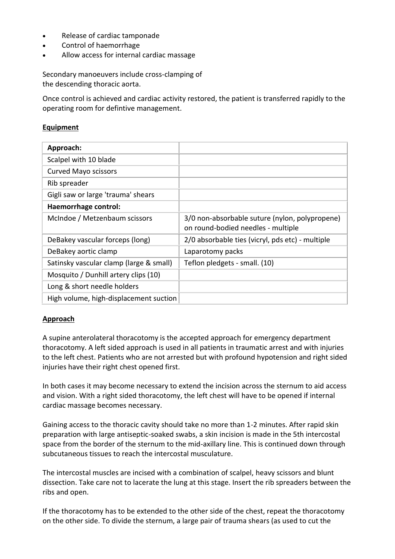- Release of cardiac tamponade
- Control of haemorrhage
- Allow access for internal cardiac massage

Secondary manoeuvers include cross-clamping of the descending thoracic aorta.

Once control is achieved and cardiac activity restored, the patient is transferred rapidly to the operating room for defintive management.

## **Equipment**

| Approach:                               |                                                                                      |
|-----------------------------------------|--------------------------------------------------------------------------------------|
| Scalpel with 10 blade                   |                                                                                      |
| <b>Curved Mayo scissors</b>             |                                                                                      |
| Rib spreader                            |                                                                                      |
| Gigli saw or large 'trauma' shears      |                                                                                      |
| Haemorrhage control:                    |                                                                                      |
| McIndoe / Metzenbaum scissors           | 3/0 non-absorbable suture (nylon, polypropene)<br>on round-bodied needles - multiple |
| DeBakey vascular forceps (long)         | 2/0 absorbable ties (vicryl, pds etc) - multiple                                     |
| DeBakey aortic clamp                    | Laparotomy packs                                                                     |
| Satinsky vascular clamp (large & small) | Teflon pledgets - small. (10)                                                        |
| Mosquito / Dunhill artery clips (10)    |                                                                                      |
| Long & short needle holders             |                                                                                      |
| High volume, high-displacement suction  |                                                                                      |

#### **Approach**

A supine anterolateral thoracotomy is the accepted approach for emergency department thoracotomy. A left sided approach is used in all patients in traumatic arrest and with injuries to the left chest. Patients who are not arrested but with profound hypotension and right sided injuries have their right chest opened first.

In both cases it may become necessary to extend the incision across the sternum to aid access and vision. With a right sided thoracotomy, the left chest will have to be opened if internal cardiac massage becomes necessary.

Gaining access to the thoracic cavity should take no more than 1-2 minutes. After rapid skin preparation with large antiseptic-soaked swabs, a skin incision is made in the 5th intercostal space from the border of the sternum to the mid-axillary line. This is continued down through subcutaneous tissues to reach the intercostal musculature.

The intercostal muscles are incised with a combination of scalpel, heavy scissors and blunt dissection. Take care not to lacerate the lung at this stage. Insert the rib spreaders between the ribs and open.

If the thoracotomy has to be extended to the other side of the chest, repeat the thoracotomy on the other side. To divide the sternum, a large pair of trauma shears (as used to cut the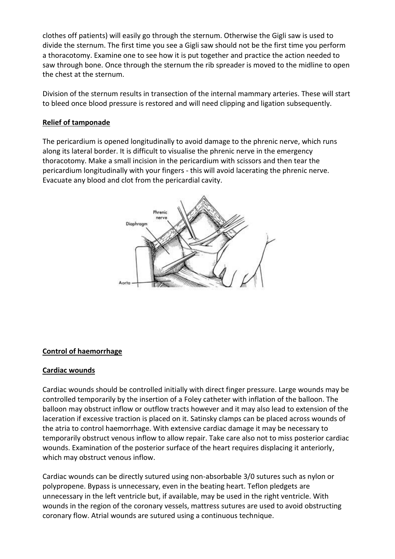clothes off patients) will easily go through the sternum. Otherwise the Gigli saw is used to divide the sternum. The first time you see a Gigli saw should not be the first time you perform a thoracotomy. Examine one to see how it is put together and practice the action needed to saw through bone. Once through the sternum the rib spreader is moved to the midline to open the chest at the sternum.

Division of the sternum results in transection of the internal mammary arteries. These will start to bleed once blood pressure is restored and will need clipping and ligation subsequently.

## **Relief of tamponade**

The pericardium is opened longitudinally to avoid damage to the phrenic nerve, which runs along its lateral border. It is difficult to visualise the phrenic nerve in the emergency thoracotomy. Make a small incision in the pericardium with scissors and then tear the pericardium longitudinally with your fingers - this will avoid lacerating the phrenic nerve. Evacuate any blood and clot from the pericardial cavity.



# **Control of haemorrhage**

#### **Cardiac wounds**

Cardiac wounds should be controlled initially with direct finger pressure. Large wounds may be controlled temporarily by the insertion of a Foley catheter with inflation of the balloon. The balloon may obstruct inflow or outflow tracts however and it may also lead to extension of the laceration if excessive traction is placed on it. Satinsky clamps can be placed across wounds of the atria to control haemorrhage. With extensive cardiac damage it may be necessary to temporarily obstruct venous inflow to allow repair. Take care also not to miss posterior cardiac wounds. Examination of the posterior surface of the heart requires displacing it anteriorly, which may obstruct venous inflow.

Cardiac wounds can be directly sutured using non-absorbable 3/0 sutures such as nylon or polypropene. Bypass is unnecessary, even in the beating heart. Teflon pledgets are unnecessary in the left ventricle but, if available, may be used in the right ventricle. With wounds in the region of the coronary vessels, mattress sutures are used to avoid obstructing coronary flow. Atrial wounds are sutured using a continuous technique.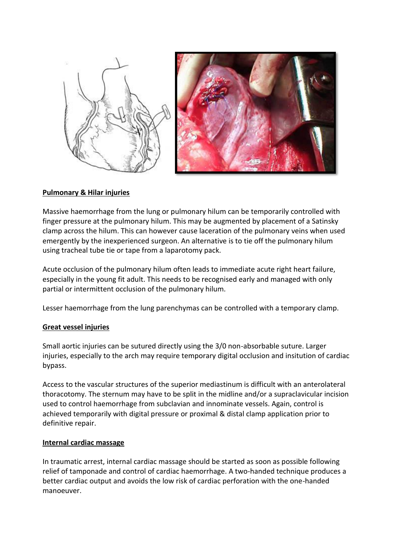

## **Pulmonary & Hilar injuries**

Massive haemorrhage from the lung or pulmonary hilum can be temporarily controlled with finger pressure at the pulmonary hilum. This may be augmented by placement of a Satinsky clamp across the hilum. This can however cause laceration of the pulmonary veins when used emergently by the inexperienced surgeon. An alternative is to tie off the pulmonary hilum using tracheal tube tie or tape from a laparotomy pack.

Acute occlusion of the pulmonary hilum often leads to immediate acute right heart failure, especially in the young fit adult. This needs to be recognised early and managed with only partial or intermittent occlusion of the pulmonary hilum.

Lesser haemorrhage from the lung parenchymas can be controlled with a temporary clamp.

#### **Great vessel injuries**

Small aortic injuries can be sutured directly using the 3/0 non-absorbable suture. Larger injuries, especially to the arch may require temporary digital occlusion and insitution of cardiac bypass.

Access to the vascular structures of the superior mediastinum is difficult with an anterolateral thoracotomy. The sternum may have to be split in the midline and/or a supraclavicular incision used to control haemorrhage from subclavian and innominate vessels. Again, control is achieved temporarily with digital pressure or proximal & distal clamp application prior to definitive repair.

#### **Internal cardiac massage**

In traumatic arrest, internal cardiac massage should be started as soon as possible following relief of tamponade and control of cardiac haemorrhage. A two-handed technique produces a better cardiac output and avoids the low risk of cardiac perforation with the one-handed manoeuver.